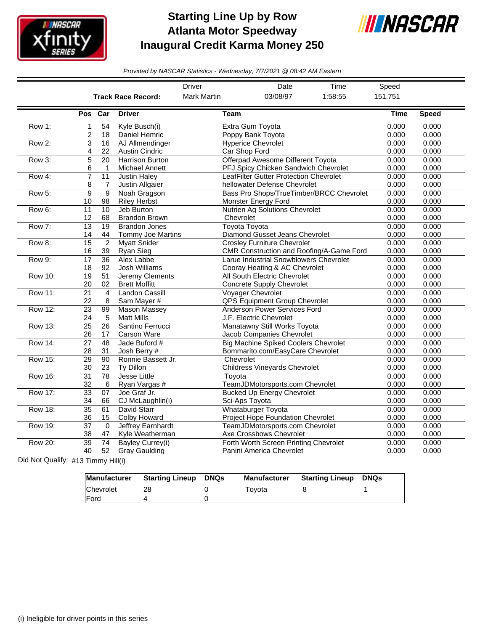

## **Starting Line Up by Row Atlanta Motor Speedway Inaugural Credit Karma Money 250**



*Provided by NASCAR Statistics - Wednesday, 7/7/2021 @ 08:42 AM Eastern*

|                |                       |                                 |                                                  | <b>Driver</b>        | Date                                                                            | Time                                     | Speed          |                |
|----------------|-----------------------|---------------------------------|--------------------------------------------------|----------------------|---------------------------------------------------------------------------------|------------------------------------------|----------------|----------------|
|                |                       |                                 | <b>Track Race Record:</b>                        | <b>Mark Martin</b>   | 03/08/97                                                                        | 1:58:55                                  | 151.751        |                |
|                | Pos                   | Car                             | <b>Driver</b>                                    | Team                 |                                                                                 |                                          | <b>Time</b>    | <b>Speed</b>   |
| Row 1:         | 1<br>2                | 54<br>18                        | Kyle Busch(i)<br>Daniel Hemric                   |                      | Extra Gum Toyota<br>Poppy Bank Toyota                                           |                                          | 0.000<br>0.000 | 0.000<br>0.000 |
| Row 2:         | 3<br>4                | 16<br>22                        | AJ Allmendinger<br><b>Austin Cindric</b>         | Car Shop Ford        | <b>Hyperice Chevrolet</b>                                                       |                                          | 0.000<br>0.000 | 0.000<br>0.000 |
| Row 3:         | 5<br>6                | $\overline{20}$<br>$\mathbf{1}$ | <b>Harrison Burton</b><br>Michael Annett         |                      | Offerpad Awesome Different Toyota<br>PFJ Spicy Chicken Sandwich Chevrolet       |                                          | 0.000<br>0.000 | 0.000<br>0.000 |
| Row 4:         | 7<br>8                | $\overline{11}$<br>7            | <b>Justin Haley</b><br>Justin Allgaier           |                      | <b>LeafFilter Gutter Protection Chevrolet</b><br>hellowater Defense Chevrolet   |                                          | 0.000<br>0.000 | 0.000<br>0.000 |
| Row 5:         | 9<br>10               | $\overline{9}$<br>98            | Noah Gragson<br><b>Riley Herbst</b>              |                      | <b>Monster Energy Ford</b>                                                      | Bass Pro Shops/TrueTimber/BRCC Chevrolet | 0.000<br>0.000 | 0.000<br>0.000 |
| Row 6:         | 11<br>12              | 10<br>68                        | Jeb Burton<br><b>Brandon Brown</b>               | Chevrolet            | Nutrien Ag Solutions Chevrolet                                                  |                                          | 0.000<br>0.000 | 0.000<br>0.000 |
| Row 7:         | $\overline{13}$<br>14 | 19<br>44                        | <b>Brandon Jones</b><br><b>Tommy Joe Martins</b> | <b>Toyota Toyota</b> | Diamond Gusset Jeans Chevrolet                                                  |                                          | 0.000<br>0.000 | 0.000<br>0.000 |
| Row 8:         | 15<br>16              | $\overline{2}$<br>39            | <b>Myatt Snider</b><br>Ryan Sieg                 |                      | <b>Crosley Furniture Chevrolet</b>                                              | CMR Construction and Roofing/A-Game Ford | 0.000<br>0.000 | 0.000<br>0.000 |
| Row 9:         | 17<br>18              | 36<br>92                        | Alex Labbe<br>Josh Williams                      |                      | Larue Industrial Snowblowers Chevrolet<br>Cooray Heating & AC Chevrolet         |                                          | 0.000<br>0.000 | 0.000<br>0.000 |
| <b>Row 10:</b> | $\overline{19}$<br>20 | 51<br>02                        | Jeremy Clements<br><b>Brett Moffitt</b>          |                      | <b>All South Electric Chevrolet</b><br><b>Concrete Supply Chevrolet</b>         |                                          | 0.000<br>0.000 | 0.000<br>0.000 |
| <b>Row 11:</b> | $\overline{21}$<br>22 | $\overline{4}$<br>8             | <b>Landon Cassill</b><br>Sam Mayer #             |                      | <b>Voyager Chevrolet</b><br>QPS Equipment Group Chevrolet                       |                                          | 0.000<br>0.000 | 0.000<br>0.000 |
| <b>Row 12:</b> | $\overline{23}$<br>24 | 99<br>5                         | <b>Mason Massey</b><br><b>Matt Mills</b>         |                      | Anderson Power Services Ford<br>J.F. Electric Chevrolet                         |                                          | 0.000<br>0.000 | 0.000<br>0.000 |
| Row 13:        | $\overline{25}$<br>26 | $\overline{26}$<br>17           | Santino Ferrucci<br><b>Carson Ware</b>           |                      | Manatawny Still Works Toyota<br>Jacob Companies Chevrolet                       |                                          | 0.000<br>0.000 | 0.000<br>0.000 |
| <b>Row 14:</b> | 27<br>28              | 48<br>31                        | Jade Buford #<br>Josh Berry #                    |                      | <b>Big Machine Spiked Coolers Chevrolet</b><br>Bommarito.com/EasyCare Chevrolet |                                          | 0.000<br>0.000 | 0.000<br>0.000 |
| <b>Row 15:</b> | $\overline{29}$<br>30 | 90<br>23                        | Ronnie Bassett Jr.<br>Ty Dillon                  | Chevrolet            | <b>Childress Vineyards Chevrolet</b>                                            |                                          | 0.000<br>0.000 | 0.000<br>0.000 |
| <b>Row 16:</b> | $\overline{31}$<br>32 | 78<br>6                         | Jesse Little<br>Ryan Vargas #                    | Toyota               | TeamJDMotorsports.com Chevrolet                                                 |                                          | 0.000<br>0.000 | 0.000<br>0.000 |
| <b>Row 17:</b> | 33<br>34              | 07<br>66                        | Joe Graf Jr.<br>CJ McLaughlin(i)                 | Sci-Aps Toyota       | <b>Bucked Up Energy Chevrolet</b>                                               |                                          | 0.000<br>0.000 | 0.000<br>0.000 |
| <b>Row 18:</b> | $\overline{35}$<br>36 | 61<br>15                        | <b>David Starr</b><br>Colby Howard               |                      | <b>Whataburger Toyota</b><br>Project Hope Foundation Chevrolet                  |                                          | 0.000<br>0.000 | 0.000<br>0.000 |
| Row 19:        | $\overline{37}$<br>38 | $\overline{0}$<br>47            | Jeffrey Earnhardt<br>Kyle Weatherman             |                      | TeamJDMotorsports.com Chevrolet<br>Axe Crossbows Chevrolet                      |                                          | 0.000<br>0.000 | 0.000<br>0.000 |
| <b>Row 20:</b> | $\overline{39}$<br>40 | 74<br>52                        | <b>Bayley Currey(i)</b><br><b>Gray Gaulding</b>  |                      | Forth Worth Screen Printing Chevrolet<br>Panini America Chevrolet               |                                          | 0.000<br>0.000 | 0.000<br>0.000 |

Did Not Qualify: #13 Timmy Hill(i)

|                  | Manufacturer Starting Lineup | <b>DNQs</b> | Manufacturer | <b>Starting Lineup</b> | <b>DNQs</b> |
|------------------|------------------------------|-------------|--------------|------------------------|-------------|
| <b>Chevrolet</b> |                              |             | Tovota       |                        |             |
| <b>IFord</b>     |                              |             |              |                        |             |